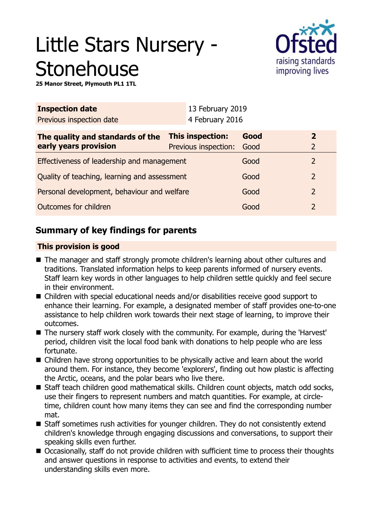# Little Stars Nursery - **Stonehouse**



**25 Manor Street, Plymouth PL1 1TL**

| <b>Inspection date</b>                                              |  | 13 February 2019                         |                                 |                |                |
|---------------------------------------------------------------------|--|------------------------------------------|---------------------------------|----------------|----------------|
| Previous inspection date                                            |  |                                          |                                 |                |                |
|                                                                     |  | Good                                     |                                 | $\overline{2}$ |                |
| early years provision<br>Effectiveness of leadership and management |  |                                          |                                 | 2              |                |
| Quality of teaching, learning and assessment                        |  | Good                                     |                                 | $\overline{2}$ |                |
| Personal development, behaviour and welfare                         |  | Good                                     |                                 | $\overline{2}$ |                |
| Outcomes for children                                               |  | Good                                     |                                 | $\overline{2}$ |                |
|                                                                     |  | This inspection:<br>Previous inspection: | 4 February 2016<br>Good<br>Good |                | $\overline{2}$ |

## **Summary of key findings for parents**

## **This provision is good**

- The manager and staff strongly promote children's learning about other cultures and traditions. Translated information helps to keep parents informed of nursery events. Staff learn key words in other languages to help children settle quickly and feel secure in their environment.
- Children with special educational needs and/or disabilities receive good support to enhance their learning. For example, a designated member of staff provides one-to-one assistance to help children work towards their next stage of learning, to improve their outcomes.
- The nursery staff work closely with the community. For example, during the 'Harvest' period, children visit the local food bank with donations to help people who are less fortunate.
- $\blacksquare$  Children have strong opportunities to be physically active and learn about the world around them. For instance, they become 'explorers', finding out how plastic is affecting the Arctic, oceans, and the polar bears who live there.
- Staff teach children good mathematical skills. Children count objects, match odd socks, use their fingers to represent numbers and match quantities. For example, at circletime, children count how many items they can see and find the corresponding number mat.
- Staff sometimes rush activities for younger children. They do not consistently extend children's knowledge through engaging discussions and conversations, to support their speaking skills even further.
- Occasionally, staff do not provide children with sufficient time to process their thoughts and answer questions in response to activities and events, to extend their understanding skills even more.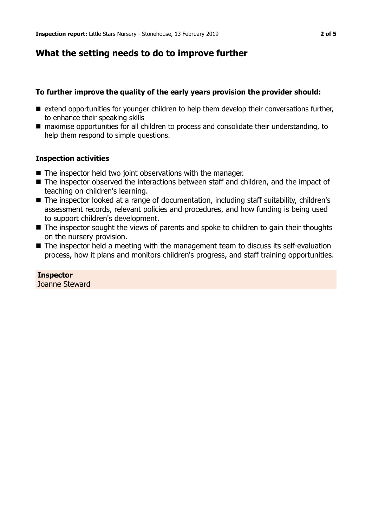## **What the setting needs to do to improve further**

#### **To further improve the quality of the early years provision the provider should:**

- $\blacksquare$  extend opportunities for younger children to help them develop their conversations further, to enhance their speaking skills
- maximise opportunities for all children to process and consolidate their understanding, to help them respond to simple questions.

#### **Inspection activities**

- $\blacksquare$  The inspector held two joint observations with the manager.
- $\blacksquare$  The inspector observed the interactions between staff and children, and the impact of teaching on children's learning.
- The inspector looked at a range of documentation, including staff suitability, children's assessment records, relevant policies and procedures, and how funding is being used to support children's development.
- $\blacksquare$  The inspector sought the views of parents and spoke to children to gain their thoughts on the nursery provision.
- $\blacksquare$  The inspector held a meeting with the management team to discuss its self-evaluation process, how it plans and monitors children's progress, and staff training opportunities.

#### **Inspector** Joanne Steward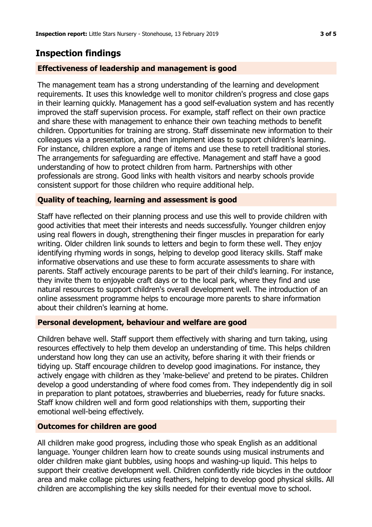## **Inspection findings**

## **Effectiveness of leadership and management is good**

The management team has a strong understanding of the learning and development requirements. It uses this knowledge well to monitor children's progress and close gaps in their learning quickly. Management has a good self-evaluation system and has recently improved the staff supervision process. For example, staff reflect on their own practice and share these with management to enhance their own teaching methods to benefit children. Opportunities for training are strong. Staff disseminate new information to their colleagues via a presentation, and then implement ideas to support children's learning. For instance, children explore a range of items and use these to retell traditional stories. The arrangements for safeguarding are effective. Management and staff have a good understanding of how to protect children from harm. Partnerships with other professionals are strong. Good links with health visitors and nearby schools provide consistent support for those children who require additional help.

## **Quality of teaching, learning and assessment is good**

Staff have reflected on their planning process and use this well to provide children with good activities that meet their interests and needs successfully. Younger children enjoy using real flowers in dough, strengthening their finger muscles in preparation for early writing. Older children link sounds to letters and begin to form these well. They enjoy identifying rhyming words in songs, helping to develop good literacy skills. Staff make informative observations and use these to form accurate assessments to share with parents. Staff actively encourage parents to be part of their child's learning. For instance, they invite them to enjoyable craft days or to the local park, where they find and use natural resources to support children's overall development well. The introduction of an online assessment programme helps to encourage more parents to share information about their children's learning at home.

## **Personal development, behaviour and welfare are good**

Children behave well. Staff support them effectively with sharing and turn taking, using resources effectively to help them develop an understanding of time. This helps children understand how long they can use an activity, before sharing it with their friends or tidying up. Staff encourage children to develop good imaginations. For instance, they actively engage with children as they 'make-believe' and pretend to be pirates. Children develop a good understanding of where food comes from. They independently dig in soil in preparation to plant potatoes, strawberries and blueberries, ready for future snacks. Staff know children well and form good relationships with them, supporting their emotional well-being effectively.

## **Outcomes for children are good**

All children make good progress, including those who speak English as an additional language. Younger children learn how to create sounds using musical instruments and older children make giant bubbles, using hoops and washing-up liquid. This helps to support their creative development well. Children confidently ride bicycles in the outdoor area and make collage pictures using feathers, helping to develop good physical skills. All children are accomplishing the key skills needed for their eventual move to school.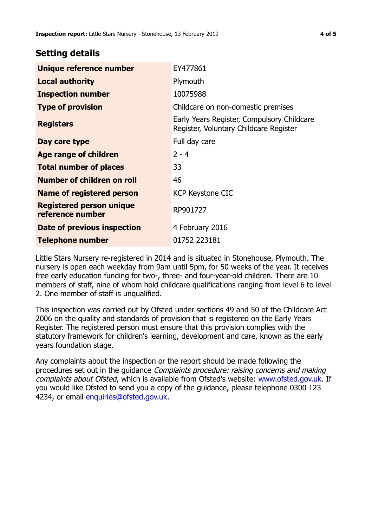## **Setting details**

| Unique reference number                             | EY477861                                                                             |  |
|-----------------------------------------------------|--------------------------------------------------------------------------------------|--|
| <b>Local authority</b>                              | Plymouth                                                                             |  |
| <b>Inspection number</b>                            | 10075988                                                                             |  |
| <b>Type of provision</b>                            | Childcare on non-domestic premises                                                   |  |
| <b>Registers</b>                                    | Early Years Register, Compulsory Childcare<br>Register, Voluntary Childcare Register |  |
| Day care type                                       | Full day care                                                                        |  |
| Age range of children                               | $2 - 4$                                                                              |  |
| <b>Total number of places</b>                       | 33                                                                                   |  |
| Number of children on roll                          | 46                                                                                   |  |
| Name of registered person                           | <b>KCP Keystone CIC</b>                                                              |  |
| <b>Registered person unique</b><br>reference number | RP901727                                                                             |  |
| Date of previous inspection                         | 4 February 2016                                                                      |  |
| Telephone number                                    | 01752 223181                                                                         |  |

Little Stars Nursery re-registered in 2014 and is situated in Stonehouse, Plymouth. The nursery is open each weekday from 9am until 5pm, for 50 weeks of the year. It receives free early education funding for two-, three- and four-year-old children. There are 10 members of staff, nine of whom hold childcare qualifications ranging from level 6 to level 2. One member of staff is unqualified.

This inspection was carried out by Ofsted under sections 49 and 50 of the Childcare Act 2006 on the quality and standards of provision that is registered on the Early Years Register. The registered person must ensure that this provision complies with the statutory framework for children's learning, development and care, known as the early years foundation stage.

Any complaints about the inspection or the report should be made following the procedures set out in the guidance Complaints procedure: raising concerns and making complaints about Ofsted, which is available from Ofsted's website: www.ofsted.gov.uk. If you would like Ofsted to send you a copy of the guidance, please telephone 0300 123 4234, or email [enquiries@ofsted.gov.uk.](mailto:enquiries@ofsted.gov.uk)